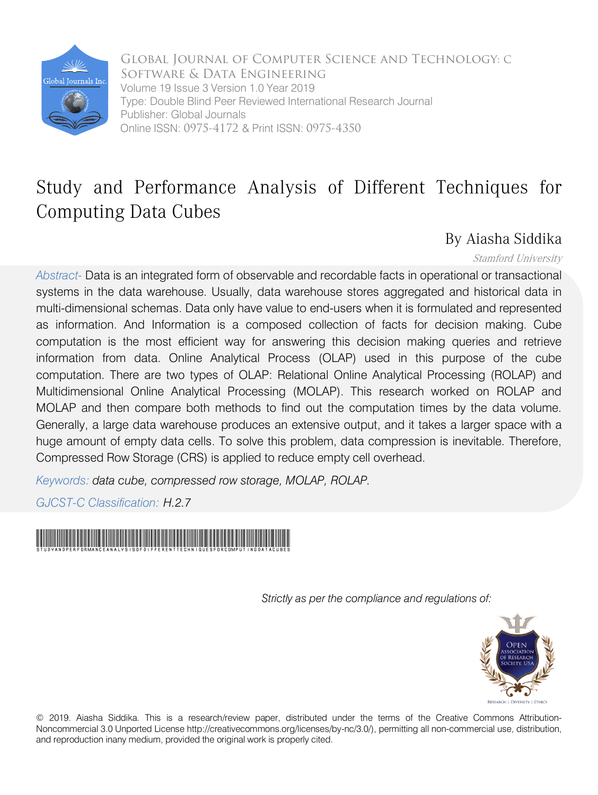

Global Journal of Computer Science and Technology: C Software & Data Engineering Volume 19 Issue 3 Version 1.0 Year 2019 Type: Double Blind Peer Reviewed International Research Journal Publisher: Global Journals Online ISSN: 0975-4172 & Print ISSN: 0975-4350

## Study and Performance Analysis of Different Techniques for Computing Data Cubes

### By Aiasha Siddika

#### Stamford University

*Abstract-* Data is an integrated form of observable and recordable facts in operational or transactional systems in the data warehouse. Usually, data warehouse stores aggregated and historical data in multi-dimensional schemas. Data only have value to end-users when it is formulated and represented as information. And Information is a composed collection of facts for decision making. Cube computation is the most efficient way for answering this decision making queries and retrieve information from data. Online Analytical Process (OLAP) used in this purpose of the cube computation. There are two types of OLAP: Relational Online Analytical Processing (ROLAP) and Multidimensional Online Analytical Processing (MOLAP). This research worked on ROLAP and MOLAP and then compare both methods to find out the computation times by the data volume. Generally, a large data warehouse produces an extensive output, and it takes a larger space with a huge amount of empty data cells. To solve this problem, data compression is inevitable. Therefore, Compressed Row Storage (CRS) is applied to reduce empty cell overhead.

*Keywords: data cube, compressed row storage, MOLAP, ROLAP.*

*GJCST-C Classification: H.2.7*



 *Strictly as per the compliance and regulations of:*



© 2019. Aiasha Siddika. This is a research/review paper, distributed under the terms of the Creative Commons Attribution-Noncommercial 3.0 Unported License http://creativecommons.org/licenses/by-nc/3.0/), permitting all non-commercial use, distribution, and reproduction inany medium, provided the original work is properly cited.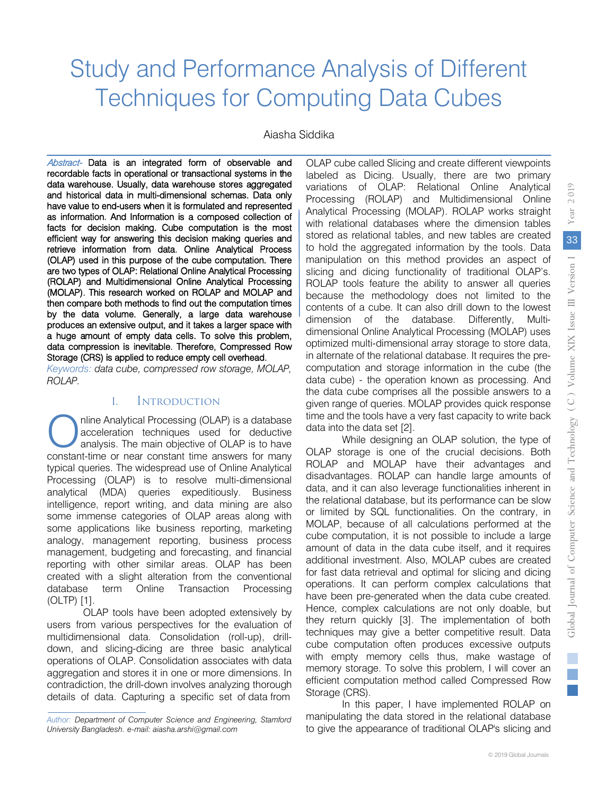# Study and Performance Analysis of Different Techniques for Computing Data Cubes

Aiasha Siddika

Abstract- Data is an integrated form of observable and recordable facts in operational or transactional systems in the data warehouse. Usually, data warehouse stores aggregated and historical data in multi-dimensional schemas. Data only have value to end-users when it is formulated and represented as information. And Information is a composed collection of facts for decision making. Cube computation is the most efficient way for answering this decision making queries and retrieve information from data. Online Analytical Process (OLAP) used in this purpose of the cube computation. There are two types of OLAP: Relational Online Analytical Processing (ROLAP) and Multidimensional Online Analytical Processing (MOLAP). This research worked on ROLAP and MOLAP and then compare both methods to find out the computation times by the data volume. Generally, a large data warehouse produces an extensive output, and it takes a larger space with a huge amount of empty data cells. To solve this problem, data compression is inevitable. Therefore, Compressed Row Storage (CRS) is applied to reduce empty cell overhead.

*Keywords: data cube, compressed row storage, MOLAP, ROLAP.*

#### I. Introduction

nline Analytical Processing (OLAP) is a database acceleration techniques used for deductive analysis. The main objective of OLAP is to have constant-time or near constant time answers for many typical queries. The widespread use of Online Analytical Processing (OLAP) is to resolve multi-dimensional analytical (MDA) queries expeditiously. Business intelligence, report writing, and data mining are also some immense categories of OLAP areas along with some applications like business reporting, marketing analogy, management reporting, business process management, budgeting and forecasting, and financial reporting with other similar areas. OLAP has been created with a slight alteration from the conventional database term Online Transaction Processing (OLTP) [1]. O nlin<br>an<br>anatont ti

OLAP tools have been adopted extensively by users from various perspectives for the evaluation of multidimensional data. Consolidation (roll-up), drilldown, and slicing-dicing are three basic analytical operations of OLAP. Consolidation associates with data aggregation and stores it in one or more dimensions. In contradiction, the drill-down involves analyzing thorough details of data. Capturing a specific set of data from

OLAP cube called Slicing and create different viewpoints labeled as Dicing. Usually, there are two primary variations of OLAP: Relational Online Analytical Processing (ROLAP) and Multidimensional Online Analytical Processing (MOLAP). ROLAP works straight with relational databases where the dimension tables stored as relational tables, and new tables are created to hold the aggregated information by the tools. Data manipulation on this method provides an aspect of slicing and dicing functionality of traditional OLAP's. ROLAP tools feature the ability to answer all queries because the methodology does not limited to the contents of a cube. It can also drill down to the lowest dimension of the database. Differently, Multidimensional Online Analytical Processing (MOLAP) uses optimized multi-dimensional array storage to store data, in alternate of the relational database. It requires the precomputation and storage information in the cube (the data cube) - the operation known as processing. And the data cube comprises all the possible answers to a given range of queries. MOLAP provides quick response time and the tools have a very fast capacity to write back data into the data set [2].

While designing an OLAP solution, the type of OLAP storage is one of the crucial decisions. Both ROLAP and MOLAP have their advantages and disadvantages. ROLAP can handle large amounts of data, and it can also leverage functionalities inherent in the relational database, but its performance can be slow or limited by SQL functionalities. On the contrary, in MOLAP, because of all calculations performed at the cube computation, it is not possible to include a large amount of data in the data cube itself, and it requires additional investment. Also, MOLAP cubes are created for fast data retrieval and optimal for slicing and dicing operations. It can perform complex calculations that have been pre-generated when the data cube created. Hence, complex calculations are not only doable, but they return quickly [3]. The implementation of both techniques may give a better competitive result. Data cube computation often produces excessive outputs with empty memory cells thus, make wastage of memory storage. To solve this problem, I will cover an efficient computation method called Compressed Row Storage (CRS).

In this paper, I have implemented ROLAP on manipulating the data stored in the relational database to give the appearance of traditional OLAP's slicing and

*Author: Department of Computer Science and Engineering, Stamford University Bangladesh. e-mail: aiasha.arshi@gmail.com*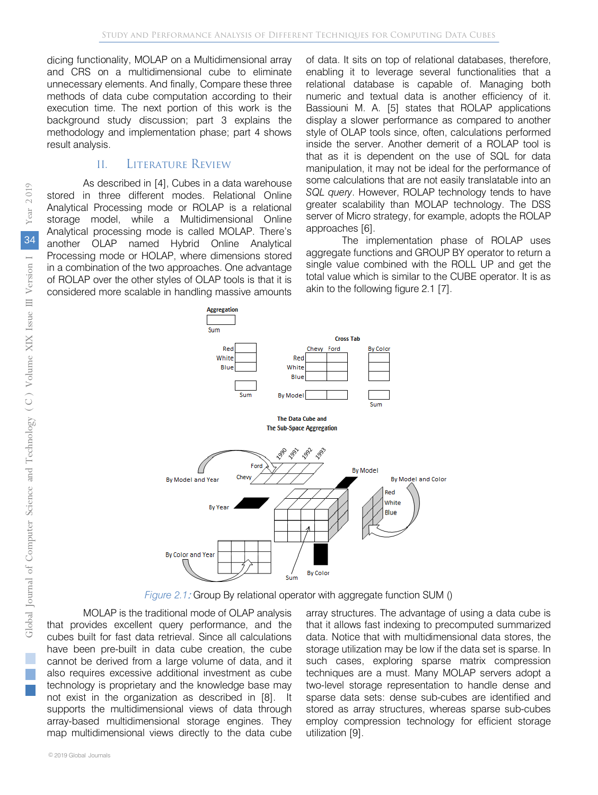dicing functionality, MOLAP on a Multidimensional array and CRS on a multidimensional cube to eliminate unnecessary elements. And finally, Compare these three methods of data cube computation according to their execution time. The next portion of this work is the background study discussion; part 3 explains the methodology and implementation phase; part 4 shows result analysis.

#### II. Literature Review

As described in [4], Cubes in a data warehouse stored in three different modes. Relational Online Analytical Processing mode or ROLAP is a relational storage model, while a Multidimensional Online Analytical processing mode is called MOLAP. There's another OLAP named Hybrid Online Analytical Processing mode or HOLAP, where dimensions stored in a combination of the two approaches. One advantage of ROLAP over the other styles of OLAP tools is that it is considered more scalable in handling massive amounts of data. It sits on top of relational databases, therefore, enabling it to leverage several functionalities that a relational database is capable of. Managing both numeric and textual data is another efficiency of it. Bassiouni M. A. [5] states that ROLAP applications display a slower performance as compared to another style of OLAP tools since, often, calculations performed inside the server. Another demerit of a ROLAP tool is that as it is dependent on the use of SQL for data manipulation, it may not be ideal for the performance of some calculations that are not easily translatable into an *SQL query*. However, ROLAP technology tends to have greater scalability than MOLAP technology. The DSS server of Micro strategy, for example, adopts the ROLAP approaches [6].

The implementation phase of ROLAP uses aggregate functions and GROUP BY operator to return a single value combined with the ROLL UP and get the total value which is similar to the CUBE operator. It is as akin to the following figure 2.1 [7].



*Figure 2.1*: Group By relational operator with aggregate function SUM ()

MOLAP is the traditional mode of OLAP analysis that provides excellent query performance, and the cubes built for fast data retrieval. Since all calculations have been pre-built in data cube creation, the cube cannot be derived from a large volume of data, and it also requires excessive additional investment as cube technology is proprietary and the knowledge base may not exist in the organization as described in [8]. It supports the multidimensional views of data through array-based multidimensional storage engines. They map multidimensional views directly to the data cube array structures. The advantage of using a data cube is that it allows fast indexing to precomputed summarized data. Notice that with multidimensional data stores, the storage utilization may be low if the data set is sparse. In such cases, exploring sparse matrix compression techniques are a must. Many MOLAP servers adopt a two-level storage representation to handle dense and sparse data sets: dense sub-cubes are identified and stored as array structures, whereas sparse sub-cubes employ compression technology for efficient storage utilization [9].

r.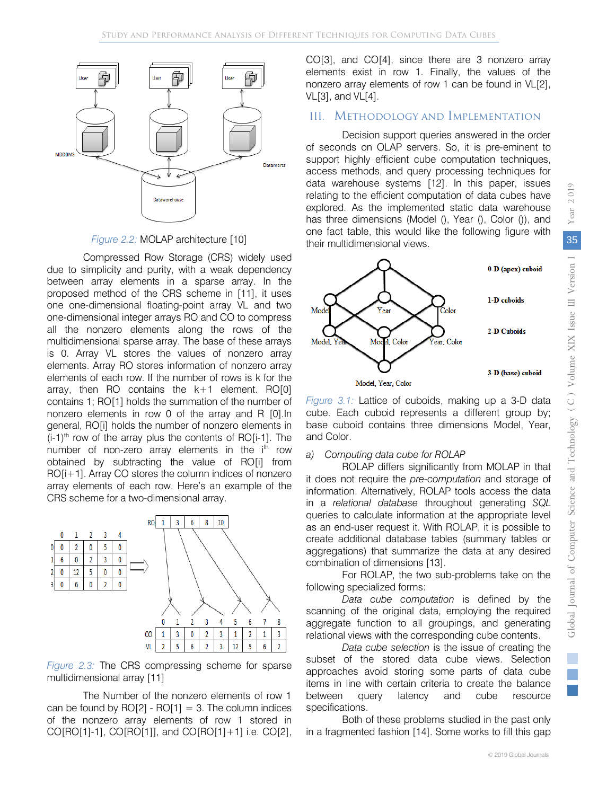

*Figure 2.2:* MOLAP architecture [10]

Compressed Row Storage (CRS) widely used due to simplicity and purity, with a weak dependency between array elements in a sparse array. In the proposed method of the CRS scheme in [11], it uses one one-dimensional floating-point array VL and two one-dimensional integer arrays RO and CO to compress all the nonzero elements along the rows of the multidimensional sparse array. The base of these arrays is 0. Array VL stores the values of nonzero array elements. Array RO stores information of nonzero array elements of each row. If the number of rows is k for the array, then  $RO$  contains the  $k+1$  element. RO $[0]$ contains 1; RO[1] holds the summation of the number of nonzero elements in row 0 of the array and R [0].In general, RO[i] holds the number of nonzero elements in  $(i-1)$ <sup>th</sup> row of the array plus the contents of RO $[i-1]$ . The number of non-zero array elements in the  $i<sup>th</sup>$  row obtained by subtracting the value of RO[i] from RO[i+1]. Array CO stores the column indices of nonzero array elements of each row. Here's an example of the CRS scheme for a two-dimensional array.



*Figure 2.3:* The CRS compressing scheme for sparse multidimensional array [11]

The Number of the nonzero elements of row 1 can be found by  $RO[2] - RO[1] = 3$ . The column indices of the nonzero array elements of row 1 stored in CO[RO[1]-1], CO[RO[1]], and CO[RO[1]+1] i.e. CO[2], CO[3], and CO[4], since there are 3 nonzero array elements exist in row 1. Finally, the values of the nonzero array elements of row 1 can be found in VL[2], VL[3], and VL[4].

#### III. Methodology and Implementation

Decision support queries answered in the order of seconds on OLAP servers. So, it is pre-eminent to support highly efficient cube computation techniques, access methods, and query processing techniques for data warehouse systems [12]. In this paper, issues relating to the efficient computation of data cubes have explored. As the implemented static data warehouse has three dimensions (Model (), Year (), Color ()), and one fact table, this would like the following figure with their multidimensional views.



*Figure 3.1:* Lattice of cuboids, making up a 3-D data cube. Each cuboid represents a different group by; base cuboid contains three dimensions Model, Year, and Color.

#### *a) Computing data cube for ROLAP*

ROLAP differs significantly from MOLAP in that it does not require the *pre-computation* and storage of information. Alternatively, ROLAP tools access the data in a *relational database* throughout generating *SQL* queries to calculate information at the appropriate level as an end-user request it. With ROLAP, it is possible to create additional database tables (summary tables or aggregations) that summarize the data at any desired combination of dimensions [13].

For ROLAP, the two sub-problems take on the following specialized forms:

*Data cube computation* is defined by the scanning of the original data, employing the required aggregate function to all groupings, and generating relational views with the corresponding cube contents.

*Data cube selection* is the issue of creating the subset of the stored data cube views. Selection approaches avoid storing some parts of data cube items in line with certain criteria to create the balance between query latency and cube resource specifications.

Both of these problems studied in the past only in a fragmented fashion [14]. Some works to fill this gap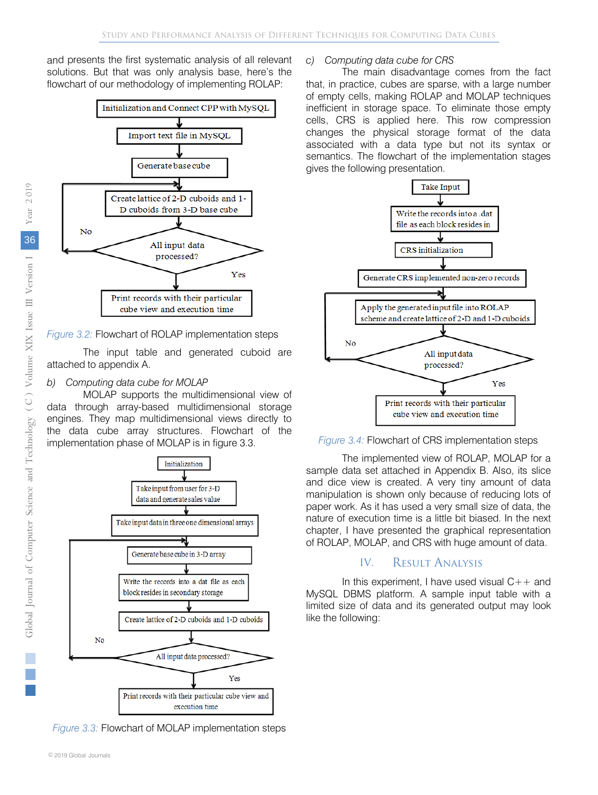and presents the first systematic analysis of all relevant solutions. But that was only analysis base, here's the flowchart of our methodology of implementing ROLAP:



*Figure 3.2* Flowchart of ROLAP implementation steps *:*

The input table and generated cuboid are attached to appendix A.

#### *b) Computing data cube for MOLAP*

MOLAP supports the multidimensional view of data through array-based multidimensional storage engines. They map multidimensional views directly to the data cube array structures. Flowchart of the implementation phase of MOLAP is in figure 3.3.



*Figure 3.3* Flowchart of MOLAP implementation steps *:*

#### *c) Computing data cube for CRS*

The main disadvantage comes from the fact that, in practice, cubes are sparse, with a large number of empty cells, making ROLAP and MOLAP techniques inefficient in storage space. To eliminate those empty cells, CRS is applied here. This row compression changes the physical storage format of the data associated with a data type but not its syntax or semantics. The flowchart of the implementation stages gives the following presentation.



*Figure 3.4:* Flowchart of CRS implementation steps

The implemented view of ROLAP, MOLAP for a sample data set attached in Appendix B. Also, its slice and dice view is created. A very tiny amount of data manipulation is shown only because of reducing lots of paper work. As it has used a very small size of data, the nature of execution time is a little bit biased. In the next chapter, I have presented the graphical representation of ROLAP, MOLAP, and CRS with huge amount of data.

#### IV. Result Analysis

In this experiment, I have used visual  $C++$  and MySQL DBMS platform. A sample input table with a limited size of data and its generated output may look like the following: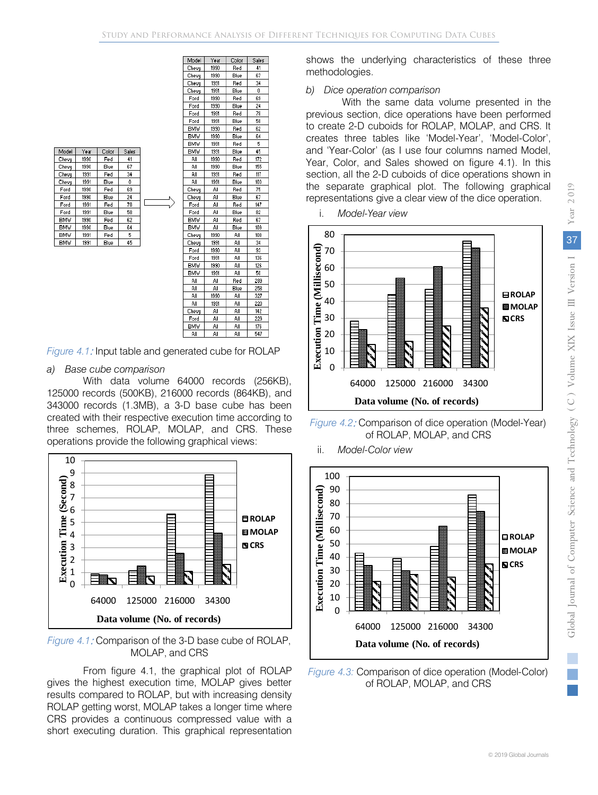| Model      | Year | Color | Sales |  |
|------------|------|-------|-------|--|
| Chevu      | 1990 | Red   | 41    |  |
| Chevy      | 1990 | Blue  | 67    |  |
| Chevy      | 1991 | Red   | 34    |  |
| Chevy      | 1991 | Blue  | ٥     |  |
| Ford       | 1990 | Red   | 69    |  |
| Ford       | 1990 | Blue  | 24    |  |
| Ford       | 1991 | Red   | 78    |  |
| Ford       | 1991 | Blue  | 58    |  |
| <b>BMV</b> | 1990 | Red   | 62    |  |
| <b>BMV</b> | 1990 | Blue  | 64    |  |
| <b>BMV</b> | 1991 | Red   | 5     |  |
| <b>BMW</b> | 1991 | Blue  | 45    |  |

| 1990<br>Red<br>41<br>Chevy<br>67<br>1990<br>Blue<br>Chevy<br>1991<br>Red<br>34<br>Chevy<br>Chevy<br>1991<br>Blue<br>Û<br>69<br>1990<br>Ford<br>Red<br>1990<br>24<br>Ford<br>Blue<br>1991<br>78<br>Ford<br>Red<br>1991<br>58<br>Ford<br>Blue<br><b>BMV</b><br>1990<br>62<br>Red<br>1990<br><b>BMW</b><br>Blue<br>64<br>5<br><b>BMV</b><br>1991<br>Red<br><b>BMV</b><br>45<br>1991<br>Blue<br>ΑIΙ<br>1990<br>Red<br>172<br>AΙ<br>1990<br>155<br>Blue<br>1991<br>ΑI<br>Red<br>117<br>AΙ<br>1991<br>103<br>Blue<br>75<br>Chevy<br>ΑI<br>Red<br>AΙ<br>Blue<br>67<br>Chevy<br>147<br>Ford<br>Αll<br>Red<br>82<br>Ford<br>ΑIΙ<br>Blue<br>67<br>BMW<br>AΙ<br>Red<br><b>BMV</b><br>ΑIΙ<br>Blue<br>109<br>1990<br>ΑIΙ<br>108<br>Chevy<br>34<br>1991<br>AΙ<br>Chevy<br>1990<br>ΑIΙ<br>93<br>Ford<br>1991<br>Αll<br>136<br>Ford<br><b>BMV</b><br>1990<br>AΙ<br>126<br><b>BMV</b><br>50<br>1991<br>ΑIΙ<br>ΑI<br>AΙ<br>Red<br>289<br>AΙ<br>258<br>Αll<br>Blue<br>ΑI<br>1990<br>Αll<br>327<br>1991<br>AΙ<br>Αll<br>220<br>AΙ<br>Αll<br>142<br>Chevy<br>229<br>Ford<br>Αll<br>Αll<br><b>BMV</b><br>Αll<br>Αll<br>176<br>547<br>AΙ<br>AΙ<br>AΙ | Model | Year | Color | Sales |
|-------------------------------------------------------------------------------------------------------------------------------------------------------------------------------------------------------------------------------------------------------------------------------------------------------------------------------------------------------------------------------------------------------------------------------------------------------------------------------------------------------------------------------------------------------------------------------------------------------------------------------------------------------------------------------------------------------------------------------------------------------------------------------------------------------------------------------------------------------------------------------------------------------------------------------------------------------------------------------------------------------------------------------------------------------------------------------------------------------------------------------|-------|------|-------|-------|
|                                                                                                                                                                                                                                                                                                                                                                                                                                                                                                                                                                                                                                                                                                                                                                                                                                                                                                                                                                                                                                                                                                                               |       |      |       |       |
|                                                                                                                                                                                                                                                                                                                                                                                                                                                                                                                                                                                                                                                                                                                                                                                                                                                                                                                                                                                                                                                                                                                               |       |      |       |       |
|                                                                                                                                                                                                                                                                                                                                                                                                                                                                                                                                                                                                                                                                                                                                                                                                                                                                                                                                                                                                                                                                                                                               |       |      |       |       |
|                                                                                                                                                                                                                                                                                                                                                                                                                                                                                                                                                                                                                                                                                                                                                                                                                                                                                                                                                                                                                                                                                                                               |       |      |       |       |
|                                                                                                                                                                                                                                                                                                                                                                                                                                                                                                                                                                                                                                                                                                                                                                                                                                                                                                                                                                                                                                                                                                                               |       |      |       |       |
|                                                                                                                                                                                                                                                                                                                                                                                                                                                                                                                                                                                                                                                                                                                                                                                                                                                                                                                                                                                                                                                                                                                               |       |      |       |       |
|                                                                                                                                                                                                                                                                                                                                                                                                                                                                                                                                                                                                                                                                                                                                                                                                                                                                                                                                                                                                                                                                                                                               |       |      |       |       |
|                                                                                                                                                                                                                                                                                                                                                                                                                                                                                                                                                                                                                                                                                                                                                                                                                                                                                                                                                                                                                                                                                                                               |       |      |       |       |
|                                                                                                                                                                                                                                                                                                                                                                                                                                                                                                                                                                                                                                                                                                                                                                                                                                                                                                                                                                                                                                                                                                                               |       |      |       |       |
|                                                                                                                                                                                                                                                                                                                                                                                                                                                                                                                                                                                                                                                                                                                                                                                                                                                                                                                                                                                                                                                                                                                               |       |      |       |       |
|                                                                                                                                                                                                                                                                                                                                                                                                                                                                                                                                                                                                                                                                                                                                                                                                                                                                                                                                                                                                                                                                                                                               |       |      |       |       |
|                                                                                                                                                                                                                                                                                                                                                                                                                                                                                                                                                                                                                                                                                                                                                                                                                                                                                                                                                                                                                                                                                                                               |       |      |       |       |
|                                                                                                                                                                                                                                                                                                                                                                                                                                                                                                                                                                                                                                                                                                                                                                                                                                                                                                                                                                                                                                                                                                                               |       |      |       |       |
|                                                                                                                                                                                                                                                                                                                                                                                                                                                                                                                                                                                                                                                                                                                                                                                                                                                                                                                                                                                                                                                                                                                               |       |      |       |       |
|                                                                                                                                                                                                                                                                                                                                                                                                                                                                                                                                                                                                                                                                                                                                                                                                                                                                                                                                                                                                                                                                                                                               |       |      |       |       |
|                                                                                                                                                                                                                                                                                                                                                                                                                                                                                                                                                                                                                                                                                                                                                                                                                                                                                                                                                                                                                                                                                                                               |       |      |       |       |
|                                                                                                                                                                                                                                                                                                                                                                                                                                                                                                                                                                                                                                                                                                                                                                                                                                                                                                                                                                                                                                                                                                                               |       |      |       |       |
|                                                                                                                                                                                                                                                                                                                                                                                                                                                                                                                                                                                                                                                                                                                                                                                                                                                                                                                                                                                                                                                                                                                               |       |      |       |       |
|                                                                                                                                                                                                                                                                                                                                                                                                                                                                                                                                                                                                                                                                                                                                                                                                                                                                                                                                                                                                                                                                                                                               |       |      |       |       |
|                                                                                                                                                                                                                                                                                                                                                                                                                                                                                                                                                                                                                                                                                                                                                                                                                                                                                                                                                                                                                                                                                                                               |       |      |       |       |
|                                                                                                                                                                                                                                                                                                                                                                                                                                                                                                                                                                                                                                                                                                                                                                                                                                                                                                                                                                                                                                                                                                                               |       |      |       |       |
|                                                                                                                                                                                                                                                                                                                                                                                                                                                                                                                                                                                                                                                                                                                                                                                                                                                                                                                                                                                                                                                                                                                               |       |      |       |       |
|                                                                                                                                                                                                                                                                                                                                                                                                                                                                                                                                                                                                                                                                                                                                                                                                                                                                                                                                                                                                                                                                                                                               |       |      |       |       |
|                                                                                                                                                                                                                                                                                                                                                                                                                                                                                                                                                                                                                                                                                                                                                                                                                                                                                                                                                                                                                                                                                                                               |       |      |       |       |
|                                                                                                                                                                                                                                                                                                                                                                                                                                                                                                                                                                                                                                                                                                                                                                                                                                                                                                                                                                                                                                                                                                                               |       |      |       |       |
|                                                                                                                                                                                                                                                                                                                                                                                                                                                                                                                                                                                                                                                                                                                                                                                                                                                                                                                                                                                                                                                                                                                               |       |      |       |       |
|                                                                                                                                                                                                                                                                                                                                                                                                                                                                                                                                                                                                                                                                                                                                                                                                                                                                                                                                                                                                                                                                                                                               |       |      |       |       |
|                                                                                                                                                                                                                                                                                                                                                                                                                                                                                                                                                                                                                                                                                                                                                                                                                                                                                                                                                                                                                                                                                                                               |       |      |       |       |
|                                                                                                                                                                                                                                                                                                                                                                                                                                                                                                                                                                                                                                                                                                                                                                                                                                                                                                                                                                                                                                                                                                                               |       |      |       |       |
|                                                                                                                                                                                                                                                                                                                                                                                                                                                                                                                                                                                                                                                                                                                                                                                                                                                                                                                                                                                                                                                                                                                               |       |      |       |       |
|                                                                                                                                                                                                                                                                                                                                                                                                                                                                                                                                                                                                                                                                                                                                                                                                                                                                                                                                                                                                                                                                                                                               |       |      |       |       |
|                                                                                                                                                                                                                                                                                                                                                                                                                                                                                                                                                                                                                                                                                                                                                                                                                                                                                                                                                                                                                                                                                                                               |       |      |       |       |
|                                                                                                                                                                                                                                                                                                                                                                                                                                                                                                                                                                                                                                                                                                                                                                                                                                                                                                                                                                                                                                                                                                                               |       |      |       |       |
|                                                                                                                                                                                                                                                                                                                                                                                                                                                                                                                                                                                                                                                                                                                                                                                                                                                                                                                                                                                                                                                                                                                               |       |      |       |       |
|                                                                                                                                                                                                                                                                                                                                                                                                                                                                                                                                                                                                                                                                                                                                                                                                                                                                                                                                                                                                                                                                                                                               |       |      |       |       |
|                                                                                                                                                                                                                                                                                                                                                                                                                                                                                                                                                                                                                                                                                                                                                                                                                                                                                                                                                                                                                                                                                                                               |       |      |       |       |
|                                                                                                                                                                                                                                                                                                                                                                                                                                                                                                                                                                                                                                                                                                                                                                                                                                                                                                                                                                                                                                                                                                                               |       |      |       |       |

*Figure 4.1*: Input table and generated cube for ROLAP

#### *a) Base cube comparison*

With data volume 64000 records (256KB), 125000 records (500KB), 216000 records (864KB), and 343000 records (1.3MB), a 3-D base cube has been created with their respective execution time according to three schemes, ROLAP, MOLAP, and CRS. These operations provide the following graphical views:



*Figure 4.1*: Comparison of the 3-D base cube of ROLAP, MOLAP, and CRS

From figure 4.1, the graphical plot of ROLAP gives the highest execution time, MOLAP gives better results compared to ROLAP, but with increasing density ROLAP getting worst, MOLAP takes a longer time where CRS provides a continuous compressed value with a short executing duration. This graphical representation

shows the underlying characteristics of these three methodologies.

#### *b) Dice operation comparison*

With the same data volume presented in the previous section, dice operations have been performed to create 2-D cuboids for ROLAP, MOLAP, and CRS. It creates three tables like 'Model-Year', 'Model-Color', and 'Year-Color' (as I use four columns named Model, Year, Color, and Sales showed on figure 4.1). In this section, all the 2-D cuboids of dice operations shown in the separate graphical plot. The following graphical representations give a clear view of the dice operation.





ii. *Model-Color view*



*Figure 4.3:* Comparison of dice operation (Model-Color) of ROLAP, MOLAP, and CRS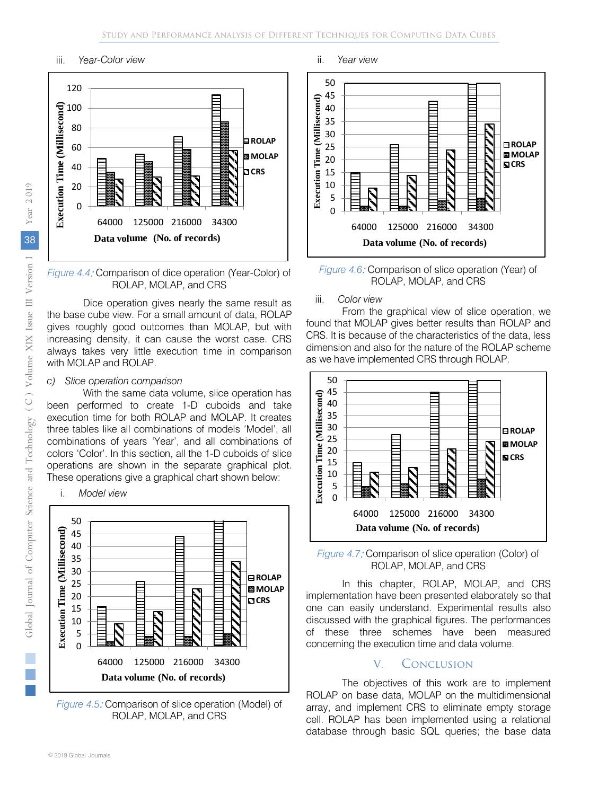#### iii. *Year-Color view*



*Figure 4.4*: Comparison of dice operation (Year-Color) of ROLAP, MOLAP, and CRS

Dice operation gives nearly the same result as the base cube view. For a small amount of data, ROLAP gives roughly good outcomes than MOLAP, but with increasing density, it can cause the worst case. CRS always takes very little execution time in comparison with MOLAP and ROLAP.

#### *c) Slice operation comparison*

i. *Model view*

With the same data volume, slice operation has been performed to create 1-D cuboids and take execution time for both ROLAP and MOLAP. It creates three tables like all combinations of models 'Model', all combinations of years 'Year', and all combinations of colors 'Color'. In this section, all the 1-D cuboids of slice operations are shown in the separate graphical plot. These operations give a graphical chart shown below:

50 (Millisecond) **Time (Millisecond)** 45 40 35 30 **ROLAP** 25 **Execution Time MOLAP** 20 **CRS** 15 **Execution** 10 5  $\overline{0}$ 64000 125000 216000 34300 **Data volume (No. of records)**

*Figure 4.5*: Comparison of slice operation (Model) of ROLAP, MOLAP, and CRS

#### ii. *Year view*



*Figure 4.6*: Comparison of slice operation (Year) of ROLAP, MOLAP, and CRS

#### iii. *Color view*

From the graphical view of slice operation, we found that MOLAP gives better results than ROLAP and CRS. It is because of the characteristics of the data, less dimension and also for the nature of the ROLAP scheme as we have implemented CRS through ROLAP.



*Figure 4.7*: Comparison of slice operation (Color) of ROLAP, MOLAP, and CRS

In this chapter, ROLAP, MOLAP, and CRS implementation have been presented elaborately so that one can easily understand. Experimental results also discussed with the graphical figures. The performances of these three schemes have been measured concerning the execution time and data volume.

#### V. Conclusion

The objectives of this work are to implement ROLAP on base data, MOLAP on the multidimensional array, and implement CRS to eliminate empty storage cell. ROLAP has been implemented using a relational database through basic SQL queries; the base data

F.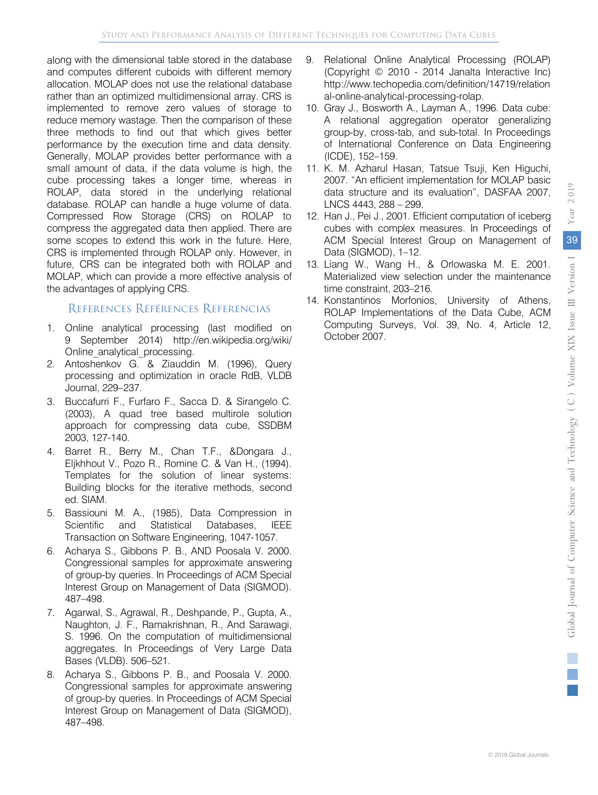along with the dimensional table stored in the database and computes different cuboids with different memory allocation. MOLAP does not use the relational database rather than an optimized multidimensional array. CRS is implemented to remove zero values of storage to reduce memory wastage. Then the comparison of these three methods to find out that which gives better performance by the execution time and data density. Generally, MOLAP provides better performance with a small amount of data, if the data volume is high, the cube processing takes a longer time, whereas in ROLAP, data stored in the underlying relational database. ROLAP can handle a huge volume of data. Compressed Row Storage (CRS) on ROLAP to compress the aggregated data then applied. There are some scopes to extend this work in the future. Here, CRS is implemented through ROLAP only. However, in future, CRS can be integrated both with ROLAP and MOLAP, which can provide a more effective analysis of the advantages of applying CRS.

#### References Références Referencias

- 1. Online analytical processing (last modified on 9 September 2014) http://en.wikipedia.org/wiki/ Online\_analytical\_processing.
- 2. Antoshenkov G. & Ziauddin M. (1996), Query processing and optimization in oracle RdB, VLDB Journal, 229–237.
- 3. Buccafurri F., Furfaro F., Sacca D. & Sirangelo C. (2003), A quad tree based multirole solution approach for compressing data cube, SSDBM 2003, 127-140.
- 4. Barret R., Berry M., Chan T.F., &Dongara J., Eljkhhout V., Pozo R., Romine C. & Van H., (1994). Templates for the solution of linear systems: Building blocks for the iterative methods, second ed. SIAM.
- 5. Bassiouni M. A., (1985), Data Compression in Scientific and Statistical Databases, IEEE Transaction on Software Engineering, 1047-1057.
- 6. Acharya S., Gibbons P. B., AND Poosala V. 2000. Congressional samples for approximate answering of group-by queries. In Proceedings of ACM Special Interest Group on Management of Data (SIGMOD). 487–498.
- 7. Agarwal, S., Agrawal, R., Deshpande, P., Gupta, A., Naughton, J. F., Ramakrishnan, R., And Sarawagi, S. 1996. On the computation of multidimensional aggregates. In Proceedings of Very Large Data Bases (VLDB). 506–521.
- 8. Acharya S., Gibbons P. B., and Poosala V. 2000. Congressional samples for approximate answering of group-by queries. In Proceedings of ACM Special Interest Group on Management of Data (SIGMOD), 487–498.
- 9. Relational Online Analytical Processing (ROLAP) (Copyright © 2010 - 2014 Janalta Interactive Inc) http://www.techopedia.com/definition/14719/relation al-online-analytical-processing-rolap.
- 10. Gray J., Bosworth A., Layman A., 1996. Data cube: A relational aggregation operator generalizing group-by, cross-tab, and sub-total. In Proceedings of International Conference on Data Engineering (ICDE), 152–159.
- 11. K. M. Azharul Hasan, Tatsue Tsuji, Ken Higuchi, 2007. "An efficient implementation for MOLAP basic data structure and its evaluation", DASFAA 2007, LNCS 4443, 288 – 299.
- 12. Han J., Pei J., 2001. Efficient computation of iceberg cubes with complex measures. In Proceedings of ACM Special Interest Group on Management of Data (SIGMOD), 1–12.
- 13. Liang W., Wang H., & Orlowaska M. E. 2001. Materialized view selection under the maintenance time constraint, 203–216.
- 14. Konstantinos Morfonios, University of Athens, ROLAP Implementations of the Data Cube, ACM Computing Surveys, Vol. 39, No. 4, Article 12, October 2007.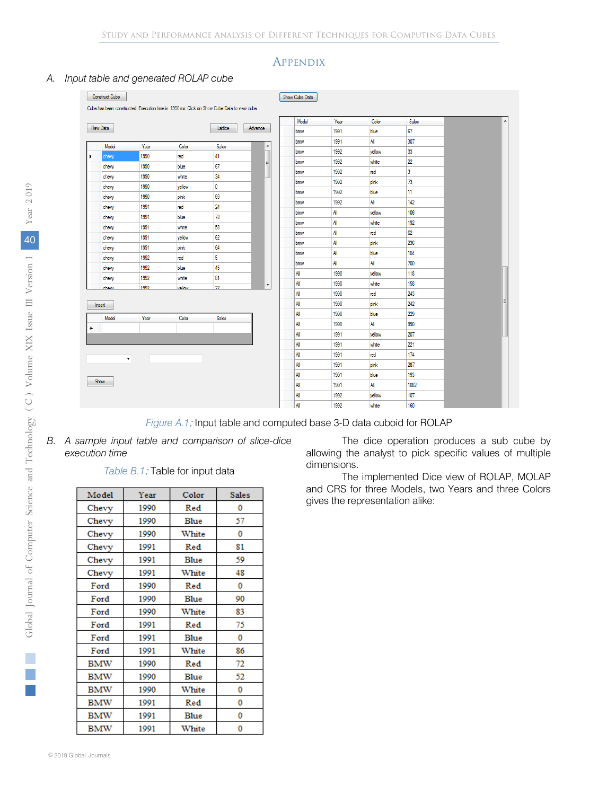#### **APPENDIX**

#### *A. Input table and generated ROLAP cube*

| Raw Data             |      |        | Lattice | Advance          | Model | Year | Color  | Sales          |  |
|----------------------|------|--------|---------|------------------|-------|------|--------|----------------|--|
|                      |      |        |         |                  | bmw   | 1991 | blue   | 67             |  |
| Model                | Year | Color  | Sales   | $\blacktriangle$ | bmw   | 1991 | All    | 307            |  |
| chevy                | 1990 | red    | 41      |                  | bmw   | 1992 | yellow | 33             |  |
| chevy                | 1990 | blue   | 67      | 팈                | bmw   | 1992 | white  | 22             |  |
| chevy                | 1990 | white  | 34      |                  | bmw   | 1992 | red    | $\overline{3}$ |  |
| chevy                | 1990 | yellow | 0       |                  | bmw   | 1992 | pink   | 73             |  |
| chevy                | 1990 | pink   | 69      |                  | bmw   | 1992 | blue   | 11             |  |
| chevy                | 1991 | red    | 24      |                  | bmw   | 1992 | All    | 142            |  |
| chevy                | 1991 | blue   | 78      |                  | bmw   | All  | yellow | 106            |  |
| chevy                | 1991 | white  | 58      |                  | bmw   | All  | white  | 192            |  |
| chevy                | 1991 | yellow | 62      |                  | bmw   | All  | red    | 62             |  |
| chevy                | 1991 | pink   | 64      |                  | bmw   | All  | pink   | 236            |  |
| chevy                | 1992 | red    | 5       |                  | bmw   | All  | blue   | 104            |  |
| chevy                | 1992 | blue   | 45      |                  | bmw   | All  | All    | 700            |  |
| chevy                | 1992 | white  | 81      |                  | All   | 1990 | yellow | 118            |  |
| بمبمطه               | 1992 | سمالور | 27      |                  | All   | 1990 | white  | 158            |  |
|                      |      |        |         |                  | All   | 1990 | red    | 243            |  |
|                      |      |        |         |                  | All   | 1990 | pink   | 242            |  |
| Model                | Year | Color  | Sales   |                  | All   | 1990 | blue   | 229            |  |
|                      |      |        |         |                  | All   | 1990 | All    | 990            |  |
|                      |      |        |         |                  | All   | 1991 | yellow | 207            |  |
|                      |      |        |         |                  | All   | 1991 | white  | 221            |  |
| $\blacktriangledown$ |      |        |         |                  | All   | 1991 | red    | 174            |  |
|                      |      |        |         |                  | All   | 1991 | pink   | 287            |  |
|                      |      |        |         |                  | All   | 1991 | blue   | 193            |  |
|                      |      |        |         |                  | All   | 1991 | All    | 1082           |  |
|                      |      |        |         |                  | All   | 1992 | vellow | 107            |  |
|                      |      |        |         |                  | All   | 1992 | white  | 160            |  |

*Figure A.1*: Input table and computed base 3-D data cuboid for ROLAP

*B. A sample input table and comparison of slice-dice execution time*

#### *Table B.1*: Table for input data

| Model      | Year | Color       | Sales |
|------------|------|-------------|-------|
| Chevy      | 1990 | Red         | 0     |
| Chevy      | 1990 | Blue        | 57    |
| Chevy      | 1990 | White       | 0     |
| Chevy      | 1991 | Red         | 81    |
| Chevy      | 1991 | Blue        | 59    |
| Chevy      | 1991 | White       | 48    |
| Ford       | 1990 | Red         | 0     |
| Ford       | 1990 | Blue        | 90    |
| Ford       | 1990 | White       | 83    |
| Ford       | 1991 | Red         | 75    |
| Ford       | 1991 | Blue        | 0     |
| Ford       | 1991 | White       | 86    |
| <b>BMW</b> | 1990 | Red         | 72    |
| <b>BMW</b> | 1990 | <b>Blue</b> | 52    |
| <b>BMW</b> | 1990 | White       | 0     |
| BMW        | 1991 | Red         | 0     |
| BMW        | 1991 | Blue        | 0     |
| <b>BMW</b> | 1991 | White       | 0     |

The dice operation produces a sub cube by allowing the analyst to pick specific values of multiple dimensions.

The implemented Dice view of ROLAP, MOLAP and CRS for three Models, two Years and three Colors gives the representation alike:

i.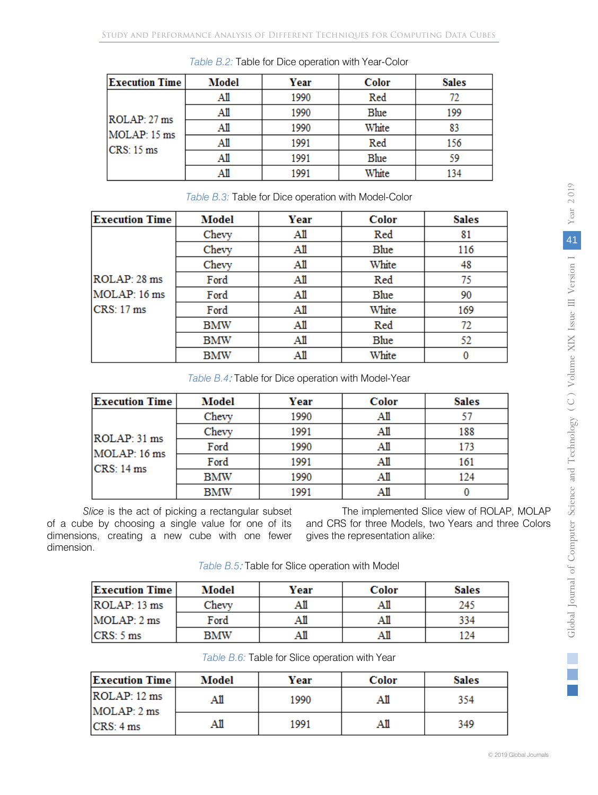| <b>Execution Time</b> | Model | Year | Color | <b>Sales</b> |
|-----------------------|-------|------|-------|--------------|
|                       | AШ    | 1990 | Red   |              |
| ROLAP: 27 ms          |       | 1990 | Blue  | 199          |
| MOLAP: 15 ms          |       | 1990 | White | 83           |
| CRS: 15 ms            | AШ    | 1991 | Red   | 156          |
|                       | AШ    | 1991 | Blue  | 59           |
|                       |       | 1991 | White |              |

*Table B.2:* Table for Dice operation with Year-Color

| Table B.3: Table for Dice operation with Model-Color |            |      |              |              |  |  |
|------------------------------------------------------|------------|------|--------------|--------------|--|--|
| <b>Execution Time</b>                                | Model      | Year | <b>Color</b> | <b>Sales</b> |  |  |
|                                                      | Chevy      | Аll  | Red          | 81           |  |  |
|                                                      | Chevy      | Аll  | Blue         | 116          |  |  |
|                                                      | Chevy      | Аll  | White        | 48           |  |  |
| ROLAP: 28 ms                                         | Ford       | Аll  | Red          | 75           |  |  |
| MOLAP: 16 ms                                         | Ford       | Аll  | Blue         | 90           |  |  |
| CRS: 17 ms                                           | Ford       | Аll  | White        | 169          |  |  |
|                                                      | BMW        | Аll  | Red          | 72           |  |  |
|                                                      | <b>BMW</b> | All  | Blue         | 52           |  |  |
|                                                      | <b>BMW</b> | Аll  | White        |              |  |  |

*Table B.4*: Table for Dice operation with Model-Year

| <b>Execution Time</b>                      | <b>Model</b> | Year | <b>Color</b> | <b>Sales</b> |
|--------------------------------------------|--------------|------|--------------|--------------|
| ROLAP: 31 ms<br>MOLAP: 16 ms<br>CRS: 14 ms | Chevy        | 1990 | Аll          |              |
|                                            | Chevy        | 1991 | Аll          | 188          |
|                                            | Ford         | 1990 | Аll          | 173          |
|                                            | Ford         | 1991 | Аll          | 161          |
|                                            | <b>BMW</b>   | 1990 | Аll          | 124          |
|                                            | <b>BMW</b>   | 1991 |              |              |

*Slice* is the act of picking a rectangular subset of a cube by choosing a single value for one of its dimensions, creating a new cube with one fewer dimension.

The implemented Slice view of ROLAP, MOLAP and CRS for three Models, two Years and three Colors gives the representation alike:

| <b>Execution Time</b> | Model | Year | <b>Color</b> | <b>Sales</b> |
|-----------------------|-------|------|--------------|--------------|
| ROLAP: 13 ms          | Chevy |      | AШ           | 245          |
| MOLAP: 2 ms           | Ford  |      | Αll          | 334          |
| CRS: 5 ms             | BMW   | AШ   | AШ           | l 24         |

| Table B.6: Table for Slice operation with Year |  |
|------------------------------------------------|--|
|------------------------------------------------|--|

| <b>Execution Time</b>       | Model | Year | Color | <b>Sales</b> |
|-----------------------------|-------|------|-------|--------------|
| ROLAP: 12 ms<br>MOLAP: 2 ms | All   | 1990 | AШ    | 354          |
| CRS: 4 ms                   | All   | 1991 | AШ    | 349          |